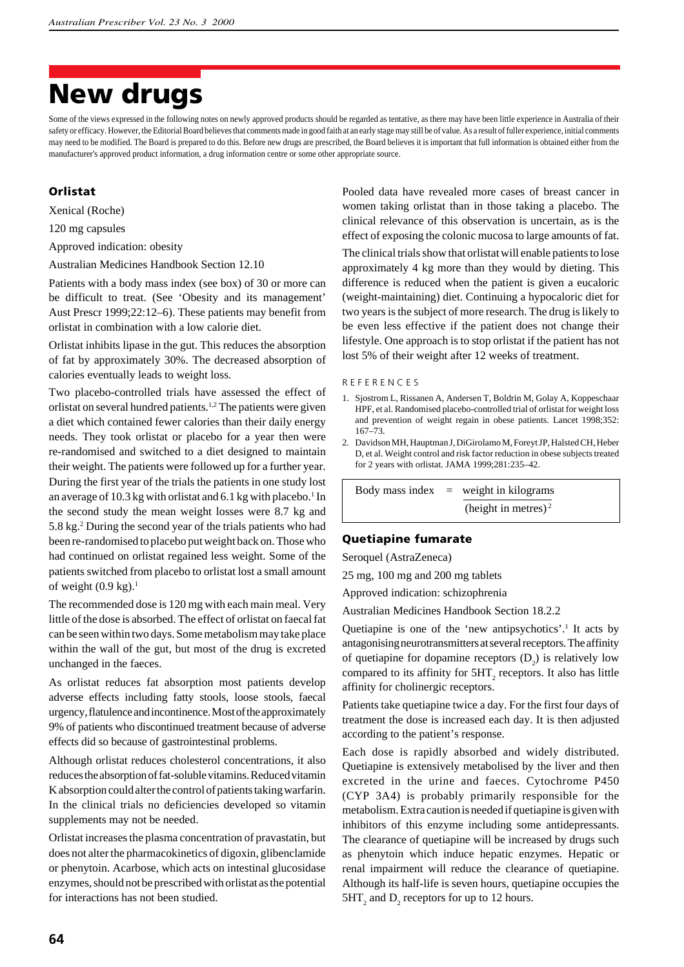# **New drugs**

Some of the views expressed in the following notes on newly approved products should be regarded as tentative, as there may have been little experience in Australia of their safety or efficacy. However, the Editorial Board believes that comments made in good faith at an early stage may still be of value. As a result of fuller experience, initial comments may need to be modified. The Board is prepared to do this. Before new drugs are prescribed, the Board believes it is important that full information is obtained either from the manufacturer's approved product information, a drug information centre or some other appropriate source.

# **Orlistat**

Xenical (Roche)

120 mg capsules

Approved indication: obesity

Australian Medicines Handbook Section 12.10

Patients with a body mass index (see box) of 30 or more can be difficult to treat. (See 'Obesity and its management' Aust Prescr 1999;22:12–6). These patients may benefit from orlistat in combination with a low calorie diet.

Orlistat inhibits lipase in the gut. This reduces the absorption of fat by approximately 30%. The decreased absorption of calories eventually leads to weight loss.

Two placebo-controlled trials have assessed the effect of orlistat on several hundred patients.<sup>1,2</sup> The patients were given a diet which contained fewer calories than their daily energy needs. They took orlistat or placebo for a year then were re-randomised and switched to a diet designed to maintain their weight. The patients were followed up for a further year. During the first year of the trials the patients in one study lost an average of 10.3 kg with orlistat and 6.1 kg with placebo.<sup>1</sup> In the second study the mean weight losses were 8.7 kg and 5.8 kg.2 During the second year of the trials patients who had been re-randomised to placebo put weight back on. Those who had continued on orlistat regained less weight. Some of the patients switched from placebo to orlistat lost a small amount of weight  $(0.9 \text{ kg})$ .<sup>1</sup>

The recommended dose is 120 mg with each main meal. Very little of the dose is absorbed. The effect of orlistat on faecal fat can be seen within two days. Some metabolism may take place within the wall of the gut, but most of the drug is excreted unchanged in the faeces.

As orlistat reduces fat absorption most patients develop adverse effects including fatty stools, loose stools, faecal urgency, flatulence and incontinence. Most of the approximately 9% of patients who discontinued treatment because of adverse effects did so because of gastrointestinal problems.

Although orlistat reduces cholesterol concentrations, it also reduces the absorption of fat-soluble vitamins. Reduced vitamin K absorption could alter the control of patients taking warfarin. In the clinical trials no deficiencies developed so vitamin supplements may not be needed.

Orlistat increases the plasma concentration of pravastatin, but does not alter the pharmacokinetics of digoxin, glibenclamide or phenytoin. Acarbose, which acts on intestinal glucosidase enzymes, should not be prescribed with orlistat as the potential for interactions has not been studied.

Pooled data have revealed more cases of breast cancer in women taking orlistat than in those taking a placebo. The clinical relevance of this observation is uncertain, as is the effect of exposing the colonic mucosa to large amounts of fat.

The clinical trials show that orlistat will enable patients to lose approximately 4 kg more than they would by dieting. This difference is reduced when the patient is given a eucaloric (weight-maintaining) diet. Continuing a hypocaloric diet for two years is the subject of more research. The drug is likely to be even less effective if the patient does not change their lifestyle. One approach is to stop orlistat if the patient has not lost 5% of their weight after 12 weeks of treatment.

#### R E F E R E N C E S

- 1. Sjostrom L, Rissanen A, Andersen T, Boldrin M, Golay A, Koppeschaar HPF, et al. Randomised placebo-controlled trial of orlistat for weight loss and prevention of weight regain in obese patients. Lancet 1998;352: 167–73.
- 2. Davidson MH, Hauptman J, DiGirolamo M, Foreyt JP, Halsted CH, Heber D, et al. Weight control and risk factor reduction in obese subjects treated for 2 years with orlistat. JAMA 1999;281:235–42.

Body mass index  $=$  weight in kilograms (height in metres) $<sup>2</sup>$ </sup>

#### **Quetiapine fumarate**

Seroquel (AstraZeneca)

25 mg, 100 mg and 200 mg tablets

Approved indication: schizophrenia

Australian Medicines Handbook Section 18.2.2

Quetiapine is one of the 'new antipsychotics'.<sup>1</sup> It acts by antagonising neurotransmitters at several receptors. The affinity of quetiapine for dopamine receptors  $(D_2)$  is relatively low compared to its affinity for  $5HT_2$  receptors. It also has little affinity for cholinergic receptors.

Patients take quetiapine twice a day. For the first four days of treatment the dose is increased each day. It is then adjusted according to the patient's response.

Each dose is rapidly absorbed and widely distributed. Quetiapine is extensively metabolised by the liver and then excreted in the urine and faeces. Cytochrome P450 (CYP 3A4) is probably primarily responsible for the metabolism. Extra caution is needed if quetiapine is given with inhibitors of this enzyme including some antidepressants. The clearance of quetiapine will be increased by drugs such as phenytoin which induce hepatic enzymes. Hepatic or renal impairment will reduce the clearance of quetiapine. Although its half-life is seven hours, quetiapine occupies the  $5HT<sub>2</sub>$  and  $D<sub>2</sub>$  receptors for up to 12 hours.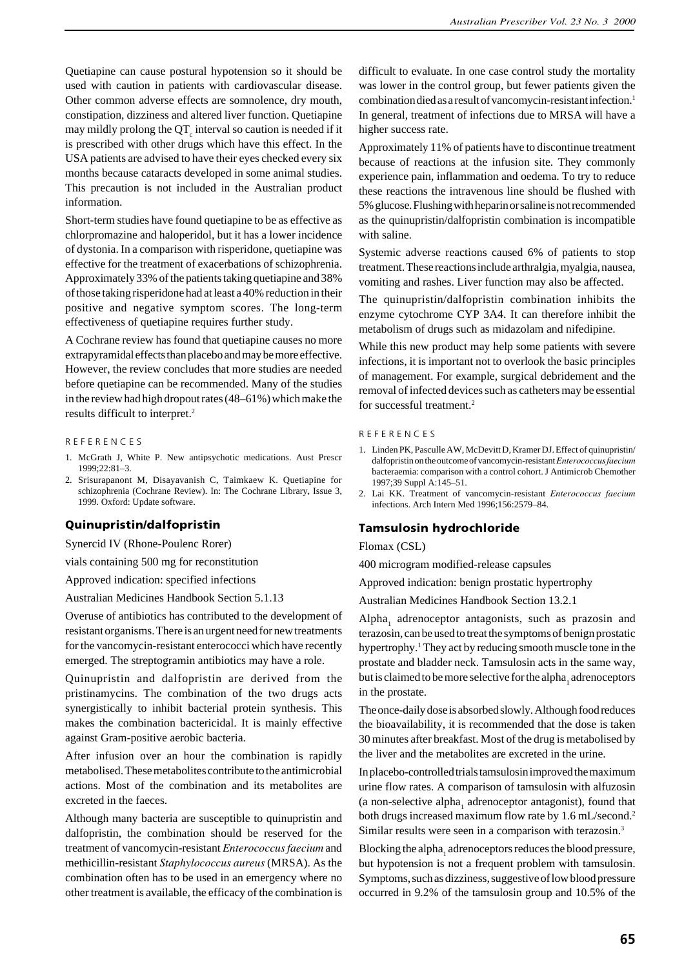Quetiapine can cause postural hypotension so it should be used with caution in patients with cardiovascular disease. Other common adverse effects are somnolence, dry mouth, constipation, dizziness and altered liver function. Quetiapine may mildly prolong the  $\text{QT}_{\text{c}}$  interval so caution is needed if it is prescribed with other drugs which have this effect. In the USA patients are advised to have their eyes checked every six months because cataracts developed in some animal studies. This precaution is not included in the Australian product information.

Short-term studies have found quetiapine to be as effective as chlorpromazine and haloperidol, but it has a lower incidence of dystonia. In a comparison with risperidone, quetiapine was effective for the treatment of exacerbations of schizophrenia. Approximately 33% of the patients taking quetiapine and 38% of those taking risperidone had at least a 40% reduction in their positive and negative symptom scores. The long-term effectiveness of quetiapine requires further study.

A Cochrane review has found that quetiapine causes no more extrapyramidal effects than placebo and may be more effective. However, the review concludes that more studies are needed before quetiapine can be recommended. Many of the studies in the review had high dropout rates (48–61%) which make the results difficult to interpret.2

#### R E F E R E N C E S

- 1. McGrath J, White P. New antipsychotic medications. Aust Prescr 1999;22:81–3.
- 2. Srisurapanont M, Disayavanish C, Taimkaew K. Quetiapine for schizophrenia (Cochrane Review). In: The Cochrane Library, Issue 3, 1999. Oxford: Update software.

#### **Quinupristin/dalfopristin**

Synercid IV (Rhone-Poulenc Rorer)

vials containing 500 mg for reconstitution

Approved indication: specified infections

Australian Medicines Handbook Section 5.1.13

Overuse of antibiotics has contributed to the development of resistant organisms. There is an urgent need for new treatments for the vancomycin-resistant enterococci which have recently emerged. The streptogramin antibiotics may have a role.

Quinupristin and dalfopristin are derived from the pristinamycins. The combination of the two drugs acts synergistically to inhibit bacterial protein synthesis. This makes the combination bactericidal. It is mainly effective against Gram-positive aerobic bacteria.

After infusion over an hour the combination is rapidly metabolised. These metabolites contribute to the antimicrobial actions. Most of the combination and its metabolites are excreted in the faeces.

Although many bacteria are susceptible to quinupristin and dalfopristin, the combination should be reserved for the treatment of vancomycin-resistant *Enterococcus faecium* and methicillin-resistant *Staphylococcus aureus* (MRSA). As the combination often has to be used in an emergency where no other treatment is available, the efficacy of the combination is difficult to evaluate. In one case control study the mortality was lower in the control group, but fewer patients given the combination died as a result of vancomycin-resistant infection.1 In general, treatment of infections due to MRSA will have a higher success rate.

Approximately 11% of patients have to discontinue treatment because of reactions at the infusion site. They commonly experience pain, inflammation and oedema. To try to reduce these reactions the intravenous line should be flushed with 5% glucose. Flushing with heparin or saline is not recommended as the quinupristin/dalfopristin combination is incompatible with saline.

Systemic adverse reactions caused 6% of patients to stop treatment. These reactions include arthralgia, myalgia, nausea, vomiting and rashes. Liver function may also be affected.

The quinupristin/dalfopristin combination inhibits the enzyme cytochrome CYP 3A4. It can therefore inhibit the metabolism of drugs such as midazolam and nifedipine.

While this new product may help some patients with severe infections, it is important not to overlook the basic principles of management. For example, surgical debridement and the removal of infected devices such as catheters may be essential for successful treatment.2

#### R E F E R E N C E S

- 1. Linden PK, Pasculle AW, McDevitt D, Kramer DJ. Effect of quinupristin/ dalfopristin on the outcome of vancomycin-resistant *Enterococcus faecium* bacteraemia: comparison with a control cohort. J Antimicrob Chemother 1997;39 Suppl A:145–51.
- 2. Lai KK. Treatment of vancomycin-resistant *Enterococcus faecium* infections. Arch Intern Med 1996;156:2579–84.

#### **Tamsulosin hydrochloride**

Flomax (CSL)

400 microgram modified-release capsules

Approved indication: benign prostatic hypertrophy

Australian Medicines Handbook Section 13.2.1

Alpha<sub>1</sub> adrenoceptor antagonists, such as prazosin and terazosin, can be used to treat the symptoms of benign prostatic hypertrophy.<sup>1</sup> They act by reducing smooth muscle tone in the prostate and bladder neck. Tamsulosin acts in the same way, but is claimed to be more selective for the alpha<sub>1</sub> adrenoceptors in the prostate.

The once-daily dose is absorbed slowly. Although food reduces the bioavailability, it is recommended that the dose is taken 30 minutes after breakfast. Most of the drug is metabolised by the liver and the metabolites are excreted in the urine.

In placebo-controlled trials tamsulosin improved the maximum urine flow rates. A comparison of tamsulosin with alfuzosin (a non-selective alpha $_1$  adrenoceptor antagonist), found that both drugs increased maximum flow rate by 1.6 mL/second.2 Similar results were seen in a comparison with terazosin.3

Blocking the alpha<sub>1</sub> adrenoceptors reduces the blood pressure, but hypotension is not a frequent problem with tamsulosin. Symptoms, such as dizziness, suggestive of low blood pressure occurred in 9.2% of the tamsulosin group and 10.5% of the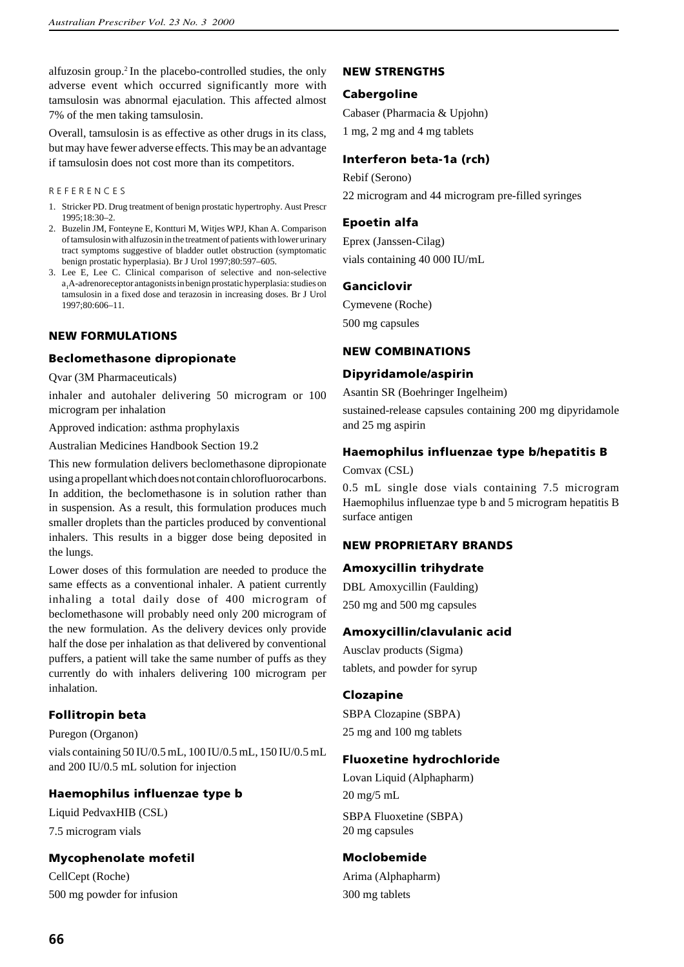alfuzosin group.2 In the placebo-controlled studies, the only adverse event which occurred significantly more with tamsulosin was abnormal ejaculation. This affected almost 7% of the men taking tamsulosin.

Overall, tamsulosin is as effective as other drugs in its class, but may have fewer adverse effects. This may be an advantage if tamsulosin does not cost more than its competitors.

#### R E F E R E N C E S

- 1. Stricker PD. Drug treatment of benign prostatic hypertrophy. Aust Prescr 1995;18:30–2.
- 2. Buzelin JM, Fonteyne E, Kontturi M, Witjes WPJ, Khan A. Comparison of tamsulosin with alfuzosin in the treatment of patients with lower urinary tract symptoms suggestive of bladder outlet obstruction (symptomatic benign prostatic hyperplasia). Br J Urol 1997;80:597–605.
- 3. Lee E, Lee C. Clinical comparison of selective and non-selective a<sub>1</sub>A-adrenoreceptor antagonists in benign prostatic hyperplasia: studies on tamsulosin in a fixed dose and terazosin in increasing doses. Br J Urol 1997;80:606–11.

## **NEW FORMULATIONS**

## **Beclomethasone dipropionate**

Qvar (3M Pharmaceuticals)

inhaler and autohaler delivering 50 microgram or 100 microgram per inhalation

Approved indication: asthma prophylaxis

Australian Medicines Handbook Section 19.2

This new formulation delivers beclomethasone dipropionate using a propellant which does not contain chlorofluorocarbons. In addition, the beclomethasone is in solution rather than in suspension. As a result, this formulation produces much smaller droplets than the particles produced by conventional inhalers. This results in a bigger dose being deposited in the lungs.

Lower doses of this formulation are needed to produce the same effects as a conventional inhaler. A patient currently inhaling a total daily dose of 400 microgram of beclomethasone will probably need only 200 microgram of the new formulation. As the delivery devices only provide half the dose per inhalation as that delivered by conventional puffers, a patient will take the same number of puffs as they currently do with inhalers delivering 100 microgram per inhalation.

# **Follitropin beta**

Puregon (Organon) vials containing 50 IU/0.5 mL, 100 IU/0.5 mL, 150 IU/0.5 mL and 200 IU/0.5 mL solution for injection

# **Haemophilus influenzae type b**

Liquid PedvaxHIB (CSL) 7.5 microgram vials

# **Mycophenolate mofetil**

CellCept (Roche) 500 mg powder for infusion

# **NEW STRENGTHS**

# **Cabergoline**

Cabaser (Pharmacia & Upjohn) 1 mg, 2 mg and 4 mg tablets

# **Interferon beta-1a (rch)**

Rebif (Serono) 22 microgram and 44 microgram pre-filled syringes

## **Epoetin alfa**

Eprex (Janssen-Cilag) vials containing 40 000 IU/mL

## **Ganciclovir**

Cymevene (Roche)

500 mg capsules

## **NEW COMBINATIONS**

## **Dipyridamole/aspirin**

Asantin SR (Boehringer Ingelheim)

sustained-release capsules containing 200 mg dipyridamole and 25 mg aspirin

# **Haemophilus influenzae type b/hepatitis B**

Comvax (CSL)

0.5 mL single dose vials containing 7.5 microgram Haemophilus influenzae type b and 5 microgram hepatitis B surface antigen

## **NEW PROPRIETARY BRANDS**

# **Amoxycillin trihydrate**

DBL Amoxycillin (Faulding) 250 mg and 500 mg capsules

# **Amoxycillin/clavulanic acid**

Ausclav products (Sigma) tablets, and powder for syrup

## **Clozapine**

SBPA Clozapine (SBPA) 25 mg and 100 mg tablets

# **Fluoxetine hydrochloride**

Lovan Liquid (Alphapharm) 20 mg/5 mL SBPA Fluoxetine (SBPA)

20 mg capsules

# **Moclobemide**

Arima (Alphapharm) 300 mg tablets